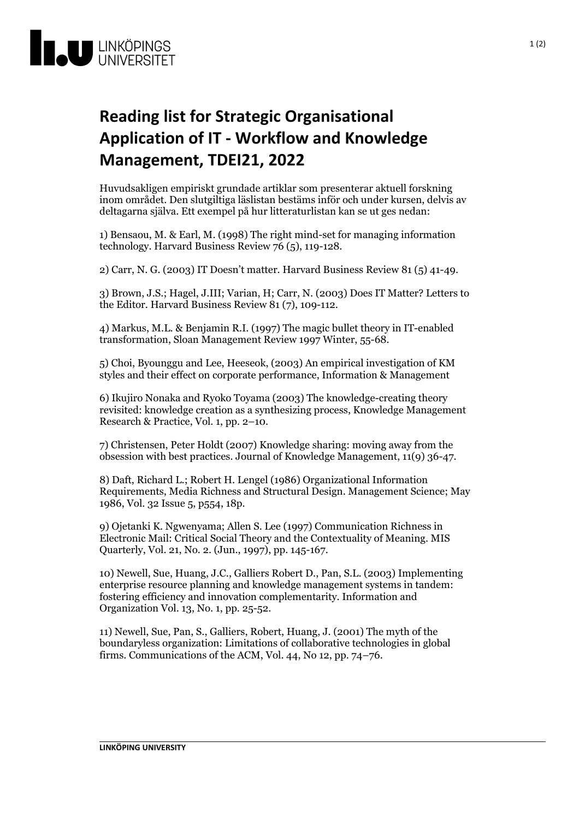

## **Reading list for Strategic Organisational Application of IT - Workflow and Knowledge Management, TDEI21, 2022**

Huvudsakligen empiriskt grundade artiklar som presenterar aktuell forskning inom området. Den slutgiltiga läslistan bestäms inför och under kursen, delvis av deltagarna själva. Ett exempel på hur litteraturlistan kan se ut ges nedan:

1) Bensaou, M. & Earl, M. (1998) The right mind-set for managing information technology. Harvard Business Review 76(5), 119-128.

2) Carr, N. G. (2003) IT Doesn't matter. Harvard Business Review 81 (5) 41-49.

3) Brown, J.S.; Hagel, J.III; Varian, H; Carr, N. (2003) Does IT Matter? Letters to the Editor. Harvard Business Review 81 (7), 109-112.

4) Markus, M.L. & Benjamin R.I. (1997) The magic bullet theory in IT-enabled transformation, Sloan Management Review 1997 Winter, 55-68.

5) Choi, Byounggu and Lee, Heeseok, (2003) An empirical investigation of KM styles and their effect on corporate performance, Information & Management

6) Ikujiro Nonaka and Ryoko Toyama (2003) The knowledge-creating theory revisited: knowledge creation asa synthesizing process, Knowledge Management Research & Practice, Vol. 1, pp. 2–10.

7) Christensen, Peter Holdt (2007) Knowledge sharing: moving away from the obsession with best practices. Journal of Knowledge Management, 11(9) 36-47.

8) Daft, Richard L.; Robert H. Lengel (1986) Organizational Information Requirements, Media Richness and Structural Design. Management Science; May 1986, Vol. 32 Issue 5, p554, 18p.

9) Ojetanki K. Ngwenyama; Allen S. Lee (1997) Communication Richness in Electronic Mail: Critical Social Theory and the Contextuality of Meaning. MIS Quarterly, Vol. 21, No. 2. (Jun., 1997), pp. 145-167.

10) Newell, Sue, Huang, J.C., Galliers Robert D., Pan, S.L. (2003) Implementing enterprise resource planning and knowledge management systems in tandem: fostering efficiency and innovation complementarity. Information and Organization Vol. 13, No. 1, pp. 25-52.

11) Newell, Sue, Pan, S., Galliers, Robert, Huang, J. (2001) The myth of the boundaryless organization: Limitations of collaborative technologies in global firms. Communications of the ACM, Vol. 44, No 12, pp. 74–76.